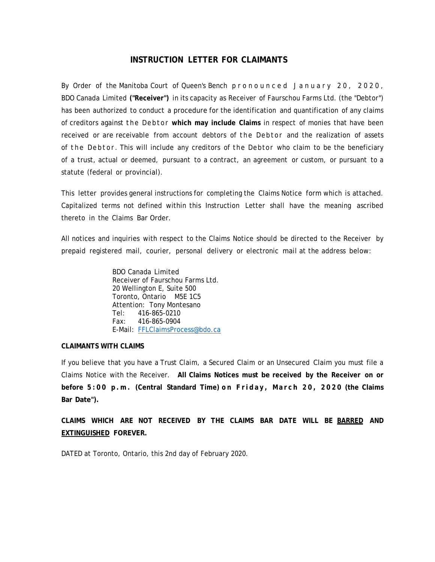# **INSTRUCTION LETTER FOR CLAIMANTS**

By Order of the Manitoba Court of Queen's Bench pronounced January 20, 2020, BDO Canada Limited **("Receiver")** in its capacity as Receiver of Faurschou Farms Ltd. (the "Debtor") has been authorized to conduct a procedure for the identification and quantification of any claims of creditors against the Debtor **which may include Claims** in respect of monies that have been received or are receivable from account debtors of the Debtor and the realization of assets of the Debtor. This will include any creditors of the Debtor who claim to be the beneficiary of a trust, actual or deemed, pursuant to a contract, an agreement or custom, or pursuant to a statute (federal or provincial).

This letter provides general instructions for completing the Claims Notice form which is attached. Capitalized terms not defined within this Instruction Letter shall have the meaning ascribed thereto in the Claims Bar Order.

All notices and inquiries with respect to the Claims Notice should be directed to the Receiver by prepaid registered mail, courier, personal delivery or electronic mail at the address below:

> BDO Canada Limited Receiver of Faurschou Farms Ltd. 20 Wellington E, Suite 500 Toronto, Ontario M5E 1C5 Attention: Tony Montesano Tel: 416-865-0210 Fax: 416-865-0904 E-Mail: FFLClaimsProcess@bdo.ca

#### **CLAIMANTS WITH CLAIMS**

If you believe that you have a Trust Claim, a Secured Claim or an Unsecured Claim you must file a Claims Notice with the Receiver. **All Claims Notices must be received by the Receiver on or**  before 5:00 p.m. (Central Standard Time) on Friday, March 20, 2020 (the Claims **Bar Date").**

**CLAIMS WHICH ARE NOT RECEIVED BY THE CLAIMS BAR DATE WILL BE BARRED AND EXTINGUISHED FOREVER.**

DATED at Toronto, Ontario, this 2nd day of February 2020.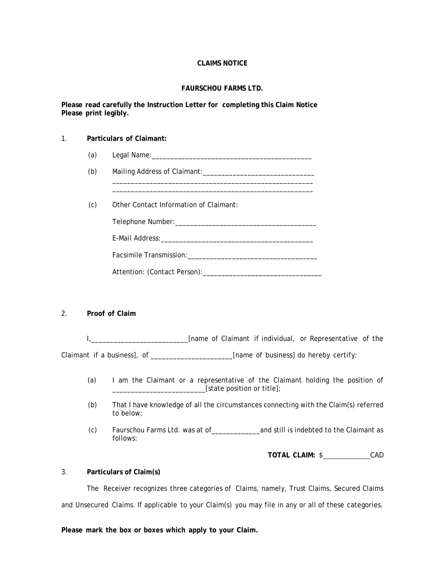### **CLAIMS NOTICE**

#### **FAURSCHOU FARMS LTD.**

#### **Please read carefully the Instruction Letter for completing this Claim Notice Please print legibly.**

#### 1. **Particulars of Claimant:**

- (a) Legal Name: Legal Name:
- (b) Mailing Address of Claimant:\_\_\_\_\_\_\_\_\_\_\_\_\_\_\_\_\_\_\_\_\_\_\_\_\_\_\_\_\_\_

 \_\_\_\_\_\_\_\_\_\_\_\_\_\_\_\_\_\_\_\_\_\_\_\_\_\_\_\_\_\_\_\_\_\_\_\_\_\_\_\_\_\_\_\_\_\_\_\_\_\_\_\_\_\_ \_\_\_\_\_\_\_\_\_\_\_\_\_\_\_\_\_\_\_\_\_\_\_\_\_\_\_\_\_\_\_\_\_\_\_\_\_\_\_\_\_\_\_\_\_\_\_\_\_\_\_\_\_\_

(c) Other Contact Information of Claimant:

Telephone Number:\_\_\_\_\_\_\_\_\_\_\_\_\_\_\_\_\_\_\_\_\_\_\_\_\_\_\_\_\_\_\_\_\_\_\_\_\_\_

E-Mail Address:\_\_\_\_\_\_\_\_\_\_\_\_\_\_\_\_\_\_\_\_\_\_\_\_\_\_\_\_\_\_\_\_\_\_\_\_\_\_\_\_\_

Facsimile Transmission: example to the contract of the contract of the contract of the contract of the contract of the contract of the contract of the contract of the contract of the contract of the contract of the contrac

Attention: (Contact Person):\_\_\_\_\_\_\_\_\_\_\_\_\_\_\_\_\_\_\_\_\_\_\_\_\_\_\_\_\_\_\_\_

#### 2. **Proof of Claim**

I, 1. 2008 1. [name of Claimant if individual, or Representative of the Claimant if a business], of \_\_\_\_\_\_\_\_\_\_\_\_\_\_\_\_\_\_\_\_\_\_\_\_[name of business] do hereby certify:

- (a) I am the Claimant or a representative of the Claimant holding the position of \_\_\_\_\_\_\_\_\_\_\_\_\_\_\_\_\_\_\_\_\_\_\_\_\_[state position or title];
- (b) That I have knowledge of all the circumstances connecting with the Claim(s) referred to below;
- (c) Faurschou Farms Ltd. was at of\_\_\_\_\_\_\_\_\_\_\_\_\_and still is indebted to the Claimant as follows:

**TOTAL CLAIM:** \$ CAD

#### 3. **Particulars of Claim(s)**

 The Receiver recognizes three categories of Claims, namely, Trust Claims, Secured Claims and Unsecured Claims. If applicable to your Claim(s) you may file in any or all of these categories.

**Please mark the box or boxes which apply to your Claim.**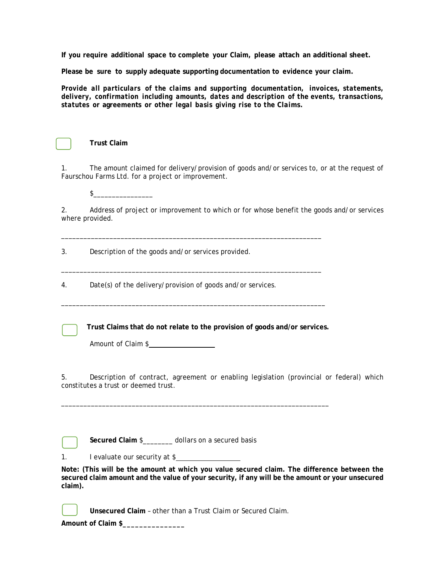**If you require additional space to complete your Claim, please attach an additional sheet.**

**Please be sure to supply adequate supporting documentation to evidence your claim.**

*Provide all particulars of the claims and supporting documentation, invoices, statements, delivery, confirmation including amounts, dates and description of the events, transactions, statutes or* **agreements** *or other legal basis giving rise to the Claims.*

| the contract of the contract of the contract of |  |  |
|-------------------------------------------------|--|--|
|                                                 |  |  |
|                                                 |  |  |
|                                                 |  |  |
|                                                 |  |  |
|                                                 |  |  |
|                                                 |  |  |

 **Trust Claim** 

1. The amount claimed for delivery/provision of goods and/or services to, or at the request of Faurschou Farms Ltd. for a project or improvement.

 $\sim$ 

2. Address of project or improvement to which or for whose benefit the goods and/or services where provided.

3. Description of the goods and/or services provided.

4. Date(s) of the delivery/provision of goods and/or services.

 **Trust Claims that do not relate to the provision of goods and/or services.**

\_\_\_\_\_\_\_\_\_\_\_\_\_\_\_\_\_\_\_\_\_\_\_\_\_\_\_\_\_\_\_\_\_\_\_\_\_\_\_\_\_\_\_\_\_\_\_\_\_\_\_\_\_\_\_\_\_\_\_\_\_\_\_\_\_\_\_\_\_\_

\_\_\_\_\_\_\_\_\_\_\_\_\_\_\_\_\_\_\_\_\_\_\_\_\_\_\_\_\_\_\_\_\_\_\_\_\_\_\_\_\_\_\_\_\_\_\_\_\_\_\_\_\_\_\_\_\_\_\_\_\_\_\_\_\_\_\_\_\_\_

\_\_\_\_\_\_\_\_\_\_\_\_\_\_\_\_\_\_\_\_\_\_\_\_\_\_\_\_\_\_\_\_\_\_\_\_\_\_\_\_\_\_\_\_\_\_\_\_\_\_\_\_\_\_\_\_\_\_\_\_\_\_\_\_\_\_\_\_\_\_\_

\_\_\_\_\_\_\_\_\_\_\_\_\_\_\_\_\_\_\_\_\_\_\_\_\_\_\_\_\_\_\_\_\_\_\_\_\_\_\_\_\_\_\_\_\_\_\_\_\_\_\_\_\_\_\_\_\_\_\_\_\_\_\_\_\_\_\_\_\_\_\_\_

Amount of Claim \$

5. Description of contract, agreement or enabling legislation (provincial or federal) which constitutes a trust or deemed trust.

 **Secured Claim** \$\_\_\_\_\_\_\_\_ dollars on a secured basis

1. I evaluate our security at \$

**Note: (This will be the amount at which you value secured claim. The difference between the secured claim amount and the value of your security, if any will be the amount or your unsecured claim).** 

 **Unsecured Claim** – other than a Trust Claim or Secured Claim.

**Amount of Claim \$\_\_\_\_\_\_\_\_\_\_\_\_\_\_\_**